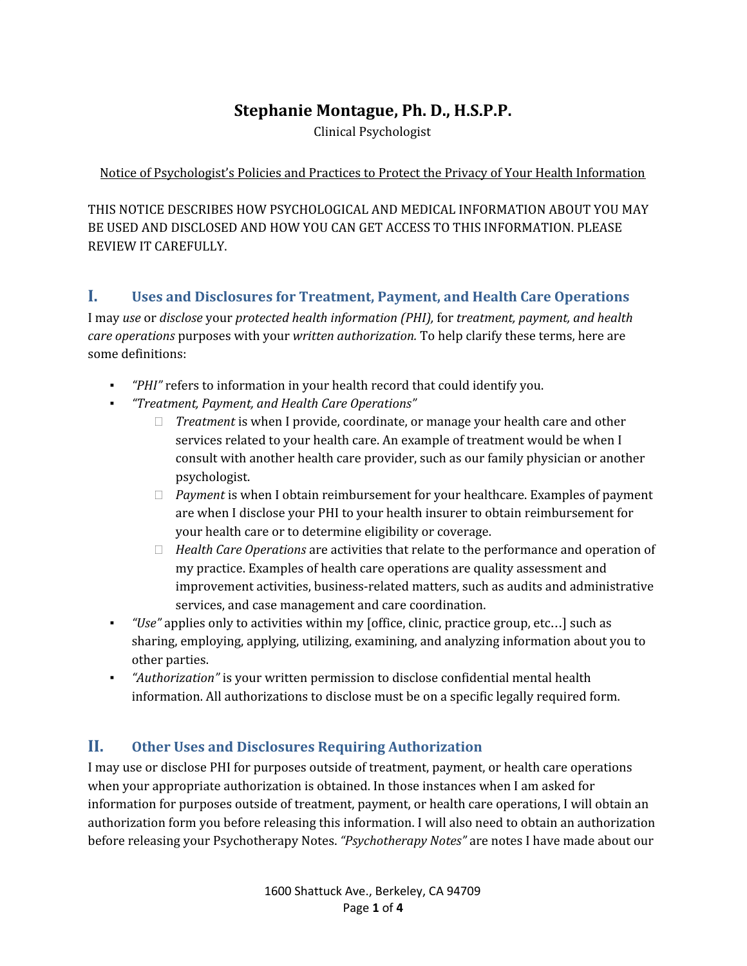Clinical Psychologist

#### Notice of Psychologist's Policies and Practices to Protect the Privacy of Your Health Information

THIS NOTICE DESCRIBES HOW PSYCHOLOGICAL AND MEDICAL INFORMATION ABOUT YOU MAY BE USED AND DISCLOSED AND HOW YOU CAN GET ACCESS TO THIS INFORMATION. PLEASE REVIEW IT CAREFULLY.

### **I. Uses and Disclosures for Treatment, Payment, and Health Care Operations**

I may *use* or *disclose* your *protected health information (PHI),* for *treatment, payment, and health care operations* purposes with your *written authorization.* To help clarify these terms, here are some definitions:

- "PHI" refers to information in your health record that could identify you.
- *"Treatment, Payment, and Health Care Operations"*
	- *Treatment* is when I provide, coordinate, or manage your health care and other services related to your health care. An example of treatment would be when I consult with another health care provider, such as our family physician or another psychologist.
	- *Payment* is when I obtain reimbursement for your healthcare. Examples of payment are when I disclose your PHI to your health insurer to obtain reimbursement for your health care or to determine eligibility or coverage.
	- *Health Care Operations* are activities that relate to the performance and operation of my practice. Examples of health care operations are quality assessment and improvement activities, business-related matters, such as audits and administrative services, and case management and care coordination.
- *"Use"* applies only to activities within my [office, clinic, practice group, etc…] such as sharing, employing, applying, utilizing, examining, and analyzing information about you to other parties.
- *"Authorization"* is your written permission to disclose confidential mental health information. All authorizations to disclose must be on a specific legally required form.

## **II. Other Uses and Disclosures Requiring Authorization**

I may use or disclose PHI for purposes outside of treatment, payment, or health care operations when your appropriate authorization is obtained. In those instances when I am asked for information for purposes outside of treatment, payment, or health care operations, I will obtain an authorization form you before releasing this information. I will also need to obtain an authorization before releasing your Psychotherapy Notes. *"Psychotherapy Notes"* are notes I have made about our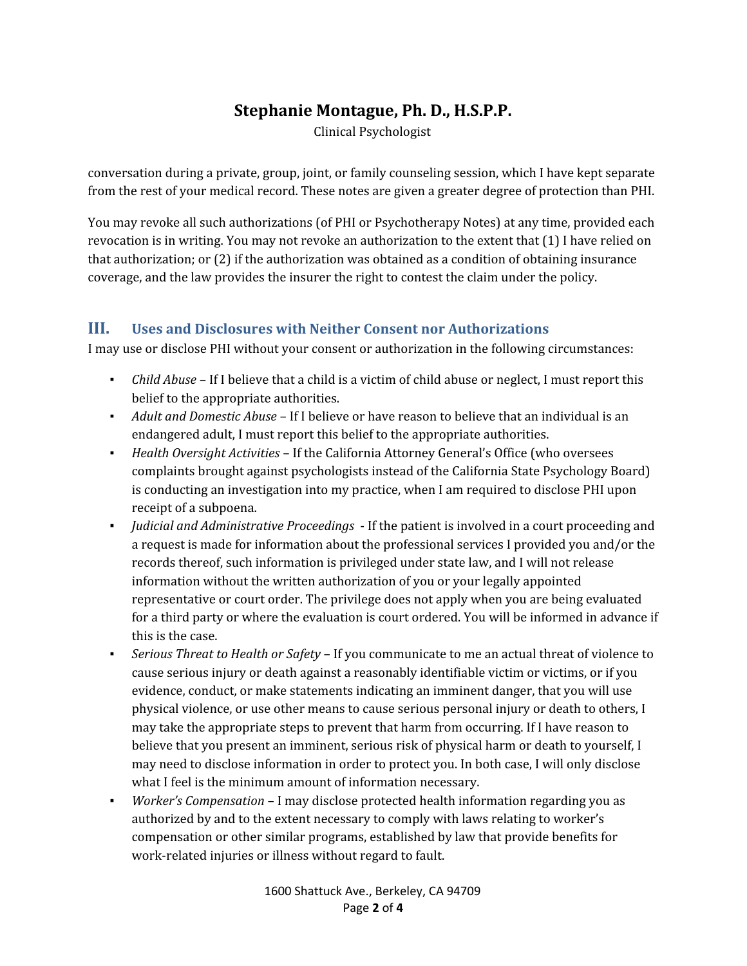Clinical Psychologist

conversation during a private, group, joint, or family counseling session, which I have kept separate from the rest of your medical record. These notes are given a greater degree of protection than PHI.

You may revoke all such authorizations (of PHI or Psychotherapy Notes) at any time, provided each revocation is in writing. You may not revoke an authorization to the extent that (1) I have relied on that authorization; or (2) if the authorization was obtained as a condition of obtaining insurance coverage, and the law provides the insurer the right to contest the claim under the policy.

### **III. Uses and Disclosures with Neither Consent nor Authorizations**

I may use or disclose PHI without your consent or authorization in the following circumstances:

- *Child Abuse* If I believe that a child is a victim of child abuse or neglect, I must report this belief to the appropriate authorities.
- *Adult and Domestic Abuse* If I believe or have reason to believe that an individual is an endangered adult, I must report this belief to the appropriate authorities.
- *Health Oversight Activities* If the California Attorney General's Office (who oversees complaints brought against psychologists instead of the California State Psychology Board) is conducting an investigation into my practice, when I am required to disclose PHI upon receipt of a subpoena.
- *Judicial and Administrative Proceedings* If the patient is involved in a court proceeding and a request is made for information about the professional services I provided you and/or the records thereof, such information is privileged under state law, and I will not release information without the written authorization of you or your legally appointed representative or court order. The privilege does not apply when you are being evaluated for a third party or where the evaluation is court ordered. You will be informed in advance if this is the case.
- *Serious Threat to Health or Safety* If you communicate to me an actual threat of violence to cause serious injury or death against a reasonably identifiable victim or victims, or if you evidence, conduct, or make statements indicating an imminent danger, that you will use physical violence, or use other means to cause serious personal injury or death to others, I may take the appropriate steps to prevent that harm from occurring. If I have reason to believe that you present an imminent, serious risk of physical harm or death to yourself, I may need to disclose information in order to protect you. In both case, I will only disclose what I feel is the minimum amount of information necessary.
- *Worker's Compensation* I may disclose protected health information regarding you as authorized by and to the extent necessary to comply with laws relating to worker's compensation or other similar programs, established by law that provide benefits for work-related injuries or illness without regard to fault.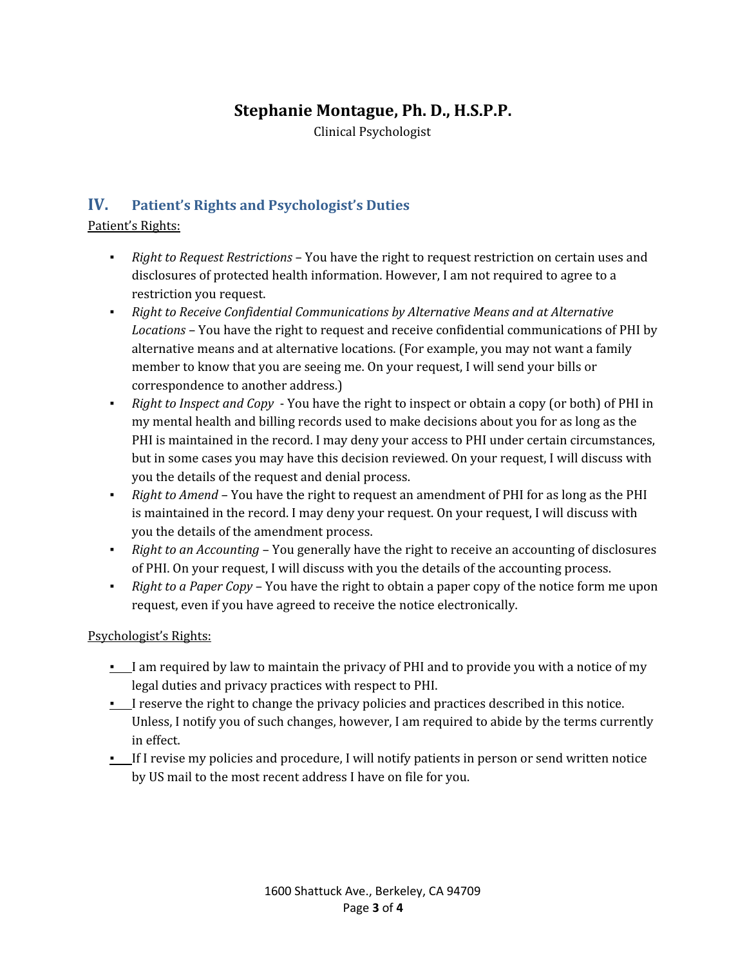Clinical Psychologist

### **IV. Patient's Rights and Psychologist's Duties**

#### Patient's Rights:

- *Right to Request Restrictions* You have the right to request restriction on certain uses and disclosures of protected health information. However, I am not required to agree to a restriction you request.
- *Right to Receive Confidential Communications by Alternative Means and at Alternative Locations* – You have the right to request and receive confidential communications of PHI by alternative means and at alternative locations. (For example, you may not want a family member to know that you are seeing me. On your request, I will send your bills or correspondence to another address.)
- *Right to Inspect and Copy* You have the right to inspect or obtain a copy (or both) of PHI in my mental health and billing records used to make decisions about you for as long as the PHI is maintained in the record. I may deny your access to PHI under certain circumstances, but in some cases you may have this decision reviewed. On your request, I will discuss with you the details of the request and denial process.
- *Right to Amend* You have the right to request an amendment of PHI for as long as the PHI is maintained in the record. I may deny your request. On your request, I will discuss with you the details of the amendment process.
- *Right to an Accounting* You generally have the right to receive an accounting of disclosures of PHI. On your request, I will discuss with you the details of the accounting process.
- *Right to a Paper Copy* You have the right to obtain a paper copy of the notice form me upon request, even if you have agreed to receive the notice electronically.

#### Psychologist's Rights:

- **<u>• I</u>** am required by law to maintain the privacy of PHI and to provide you with a notice of my legal duties and privacy practices with respect to PHI.
- **•** I reserve the right to change the privacy policies and practices described in this notice. Unless, I notify you of such changes, however, I am required to abide by the terms currently in effect.
- **•** If I revise my policies and procedure, I will notify patients in person or send written notice by US mail to the most recent address I have on file for you.